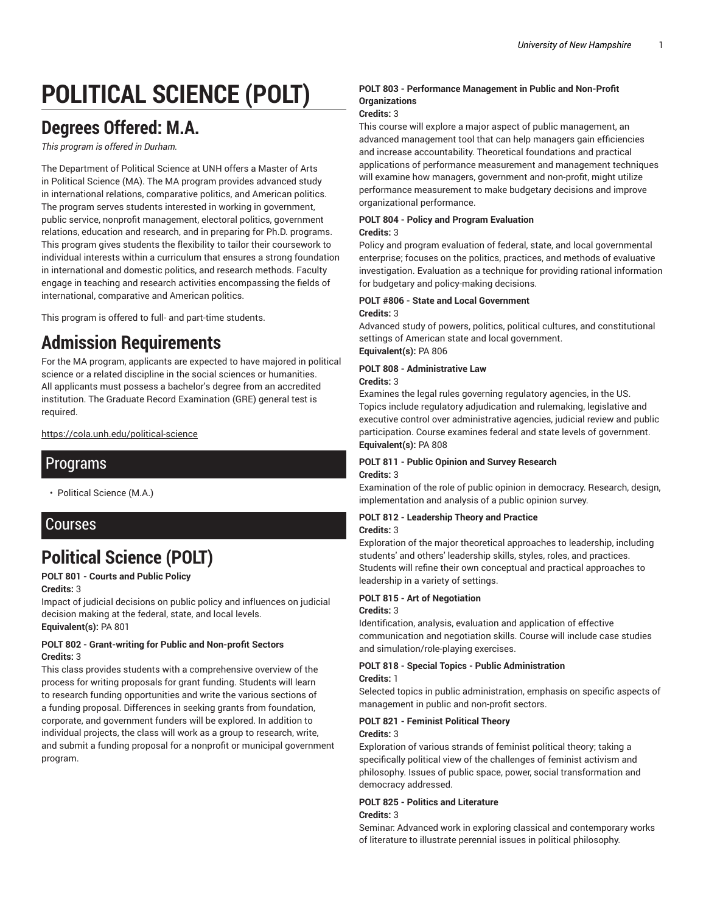# **POLITICAL SCIENCE (POLT)**

## **Degrees Offered: M.A.**

*This program is offered in Durham.*

The Department of Political Science at UNH offers a Master of Arts in Political Science (MA). The MA program provides advanced study in international relations, comparative politics, and American politics. The program serves students interested in working in government, public service, nonprofit management, electoral politics, government relations, education and research, and in preparing for Ph.D. programs. This program gives students the flexibility to tailor their coursework to individual interests within a curriculum that ensures a strong foundation in international and domestic politics, and research methods. Faculty engage in teaching and research activities encompassing the fields of international, comparative and American politics.

This program is offered to full- and part-time students.

## **Admission Requirements**

For the MA program, applicants are expected to have majored in political science or a related discipline in the social sciences or humanities. All applicants must possess a bachelor's degree from an accredited institution. The Graduate Record Examination (GRE) general test is required.

https://cola.unh.edu/political-science

### Programs

• Political Science (M.A.)

### Courses

## **Political Science (POLT)**

**POLT 801 - Courts and Public Policy**

#### **Credits:** 3

Impact of judicial decisions on public policy and influences on judicial decision making at the federal, state, and local levels.

**Equivalent(s):** PA 801

#### **POLT 802 - Grant-writing for Public and Non-profit Sectors Credits:** 3

This class provides students with a comprehensive overview of the process for writing proposals for grant funding. Students will learn to research funding opportunities and write the various sections of a funding proposal. Differences in seeking grants from foundation, corporate, and government funders will be explored. In addition to individual projects, the class will work as a group to research, write, and submit a funding proposal for a nonprofit or municipal government program.

#### **POLT 803 - Performance Management in Public and Non-Profit Organizations**

#### **Credits:** 3

This course will explore a major aspect of public management, an advanced management tool that can help managers gain efficiencies and increase accountability. Theoretical foundations and practical applications of performance measurement and management techniques will examine how managers, government and non-profit, might utilize performance measurement to make budgetary decisions and improve organizational performance.

#### **POLT 804 - Policy and Program Evaluation**

#### **Credits:** 3

Policy and program evaluation of federal, state, and local governmental enterprise; focuses on the politics, practices, and methods of evaluative investigation. Evaluation as a technique for providing rational information for budgetary and policy-making decisions.

#### **POLT #806 - State and Local Government**

#### **Credits:** 3

Advanced study of powers, politics, political cultures, and constitutional settings of American state and local government. **Equivalent(s):** PA 806

### **POLT 808 - Administrative Law**

#### **Credits:** 3

Examines the legal rules governing regulatory agencies, in the US. Topics include regulatory adjudication and rulemaking, legislative and executive control over administrative agencies, judicial review and public participation. Course examines federal and state levels of government. **Equivalent(s):** PA 808

#### **POLT 811 - Public Opinion and Survey Research Credits:** 3

Examination of the role of public opinion in democracy. Research, design, implementation and analysis of a public opinion survey.

#### **POLT 812 - Leadership Theory and Practice Credits:** 3

Exploration of the major theoretical approaches to leadership, including students' and others' leadership skills, styles, roles, and practices. Students will refine their own conceptual and practical approaches to leadership in a variety of settings.

#### **POLT 815 - Art of Negotiation Credits:** 3

Identification, analysis, evaluation and application of effective communication and negotiation skills. Course will include case studies and simulation/role-playing exercises.

#### **POLT 818 - Special Topics - Public Administration Credits:** 1

Selected topics in public administration, emphasis on specific aspects of management in public and non-profit sectors.

#### **POLT 821 - Feminist Political Theory**

#### **Credits:** 3

Exploration of various strands of feminist political theory; taking a specifically political view of the challenges of feminist activism and philosophy. Issues of public space, power, social transformation and democracy addressed.

#### **POLT 825 - Politics and Literature Credits:** 3

Seminar: Advanced work in exploring classical and contemporary works of literature to illustrate perennial issues in political philosophy.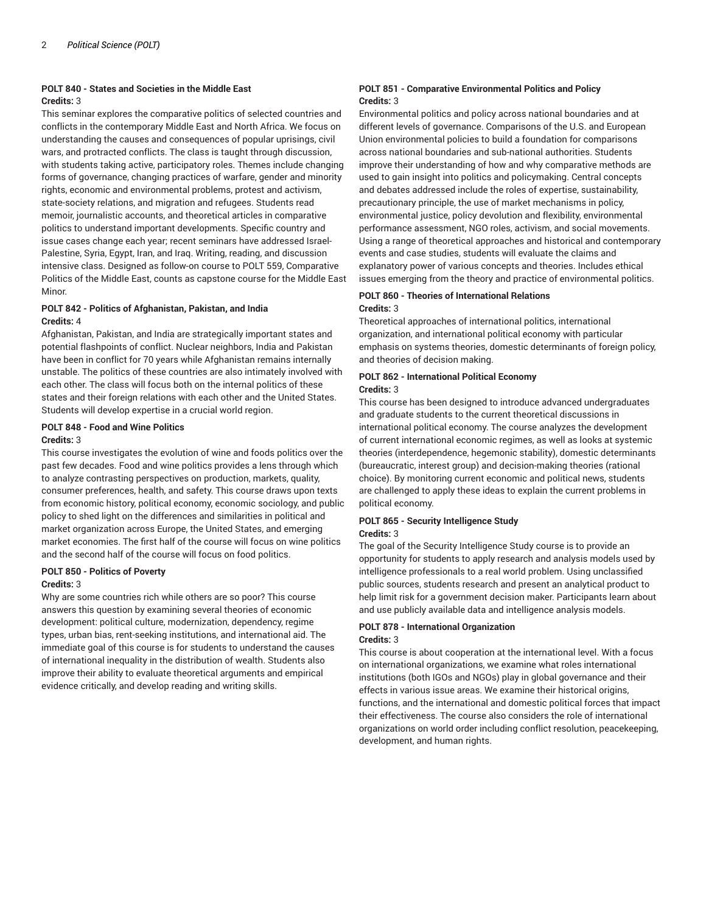#### **POLT 840 - States and Societies in the Middle East Credits:** 3

This seminar explores the comparative politics of selected countries and conflicts in the contemporary Middle East and North Africa. We focus on understanding the causes and consequences of popular uprisings, civil wars, and protracted conflicts. The class is taught through discussion, with students taking active, participatory roles. Themes include changing forms of governance, changing practices of warfare, gender and minority rights, economic and environmental problems, protest and activism, state-society relations, and migration and refugees. Students read memoir, journalistic accounts, and theoretical articles in comparative politics to understand important developments. Specific country and issue cases change each year; recent seminars have addressed Israel-Palestine, Syria, Egypt, Iran, and Iraq. Writing, reading, and discussion intensive class. Designed as follow-on course to POLT 559, Comparative Politics of the Middle East, counts as capstone course for the Middle East Minor.

#### **POLT 842 - Politics of Afghanistan, Pakistan, and India Credits:** 4

Afghanistan, Pakistan, and India are strategically important states and potential flashpoints of conflict. Nuclear neighbors, India and Pakistan have been in conflict for 70 years while Afghanistan remains internally unstable. The politics of these countries are also intimately involved with each other. The class will focus both on the internal politics of these states and their foreign relations with each other and the United States. Students will develop expertise in a crucial world region.

#### **POLT 848 - Food and Wine Politics**

#### **Credits:** 3

This course investigates the evolution of wine and foods politics over the past few decades. Food and wine politics provides a lens through which to analyze contrasting perspectives on production, markets, quality, consumer preferences, health, and safety. This course draws upon texts from economic history, political economy, economic sociology, and public policy to shed light on the differences and similarities in political and market organization across Europe, the United States, and emerging market economies. The first half of the course will focus on wine politics and the second half of the course will focus on food politics.

#### **POLT 850 - Politics of Poverty**

#### **Credits:** 3

Why are some countries rich while others are so poor? This course answers this question by examining several theories of economic development: political culture, modernization, dependency, regime types, urban bias, rent-seeking institutions, and international aid. The immediate goal of this course is for students to understand the causes of international inequality in the distribution of wealth. Students also improve their ability to evaluate theoretical arguments and empirical evidence critically, and develop reading and writing skills.

#### **POLT 851 - Comparative Environmental Politics and Policy Credits:** 3

Environmental politics and policy across national boundaries and at different levels of governance. Comparisons of the U.S. and European Union environmental policies to build a foundation for comparisons across national boundaries and sub-national authorities. Students improve their understanding of how and why comparative methods are used to gain insight into politics and policymaking. Central concepts and debates addressed include the roles of expertise, sustainability, precautionary principle, the use of market mechanisms in policy, environmental justice, policy devolution and flexibility, environmental performance assessment, NGO roles, activism, and social movements. Using a range of theoretical approaches and historical and contemporary events and case studies, students will evaluate the claims and explanatory power of various concepts and theories. Includes ethical issues emerging from the theory and practice of environmental politics.

#### **POLT 860 - Theories of International Relations Credits:** 3

Theoretical approaches of international politics, international organization, and international political economy with particular emphasis on systems theories, domestic determinants of foreign policy, and theories of decision making.

#### **POLT 862 - International Political Economy Credits:** 3

This course has been designed to introduce advanced undergraduates and graduate students to the current theoretical discussions in international political economy. The course analyzes the development of current international economic regimes, as well as looks at systemic theories (interdependence, hegemonic stability), domestic determinants (bureaucratic, interest group) and decision-making theories (rational choice). By monitoring current economic and political news, students are challenged to apply these ideas to explain the current problems in political economy.

## **POLT 865 - Security Intelligence Study**

#### **Credits:** 3

The goal of the Security Intelligence Study course is to provide an opportunity for students to apply research and analysis models used by intelligence professionals to a real world problem. Using unclassified public sources, students research and present an analytical product to help limit risk for a government decision maker. Participants learn about and use publicly available data and intelligence analysis models.

#### **POLT 878 - International Organization Credits:** 3

This course is about cooperation at the international level. With a focus on international organizations, we examine what roles international institutions (both IGOs and NGOs) play in global governance and their effects in various issue areas. We examine their historical origins, functions, and the international and domestic political forces that impact their effectiveness. The course also considers the role of international organizations on world order including conflict resolution, peacekeeping, development, and human rights.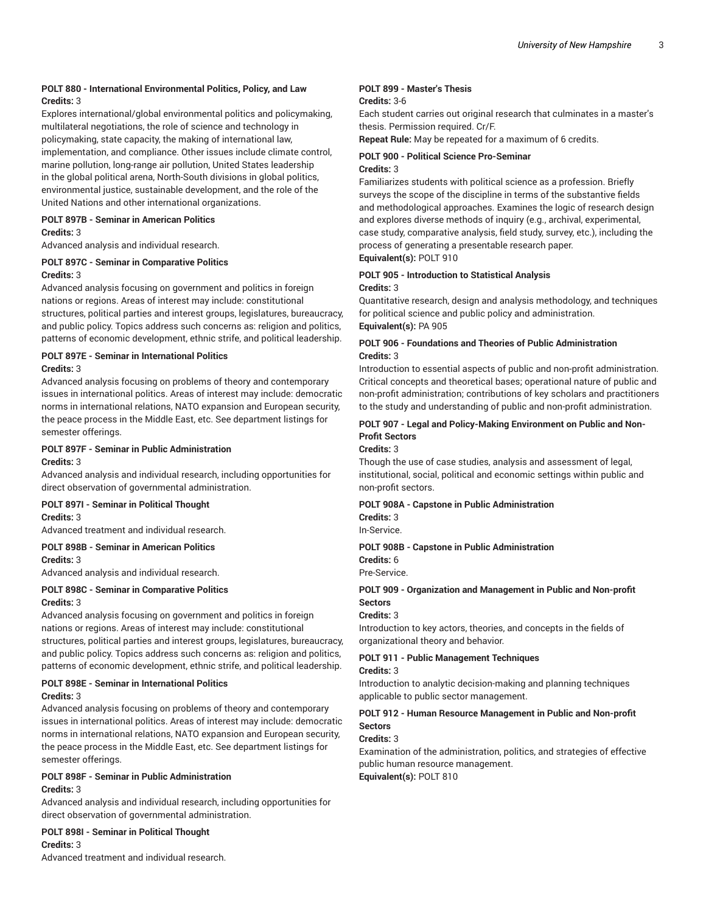#### **POLT 880 - International Environmental Politics, Policy, and Law Credits:** 3

Explores international/global environmental politics and policymaking, multilateral negotiations, the role of science and technology in policymaking, state capacity, the making of international law, implementation, and compliance. Other issues include climate control, marine pollution, long-range air pollution, United States leadership in the global political arena, North-South divisions in global politics, environmental justice, sustainable development, and the role of the United Nations and other international organizations.

#### **POLT 897B - Seminar in American Politics**

#### **Credits:** 3

Advanced analysis and individual research.

#### **POLT 897C - Seminar in Comparative Politics Credits:** 3

Advanced analysis focusing on government and politics in foreign nations or regions. Areas of interest may include: constitutional structures, political parties and interest groups, legislatures, bureaucracy, and public policy. Topics address such concerns as: religion and politics, patterns of economic development, ethnic strife, and political leadership.

#### **POLT 897E - Seminar in International Politics Credits:** 3

Advanced analysis focusing on problems of theory and contemporary issues in international politics. Areas of interest may include: democratic norms in international relations, NATO expansion and European security, the peace process in the Middle East, etc. See department listings for semester offerings.

#### **POLT 897F - Seminar in Public Administration Credits:** 3

Advanced analysis and individual research, including opportunities for direct observation of governmental administration.

#### **POLT 897I - Seminar in Political Thought**

#### **Credits:** 3

Advanced treatment and individual research.

#### **POLT 898B - Seminar in American Politics Credits:** 3

Advanced analysis and individual research.

### **POLT 898C - Seminar in Comparative Politics**

#### **Credits:** 3

Advanced analysis focusing on government and politics in foreign nations or regions. Areas of interest may include: constitutional structures, political parties and interest groups, legislatures, bureaucracy, and public policy. Topics address such concerns as: religion and politics, patterns of economic development, ethnic strife, and political leadership.

#### **POLT 898E - Seminar in International Politics Credits:** 3

Advanced analysis focusing on problems of theory and contemporary issues in international politics. Areas of interest may include: democratic norms in international relations, NATO expansion and European security, the peace process in the Middle East, etc. See department listings for semester offerings.

#### **POLT 898F - Seminar in Public Administration Credits:** 3

Advanced analysis and individual research, including opportunities for direct observation of governmental administration.

#### **POLT 898I - Seminar in Political Thought**

#### **Credits:** 3

Advanced treatment and individual research.

#### **POLT 899 - Master's Thesis Credits:** 3-6

Each student carries out original research that culminates in a master's thesis. Permission required. Cr/F.

**Repeat Rule:** May be repeated for a maximum of 6 credits.

#### **POLT 900 - Political Science Pro-Seminar Credits:** 3

Familiarizes students with political science as a profession. Briefly surveys the scope of the discipline in terms of the substantive fields and methodological approaches. Examines the logic of research design and explores diverse methods of inquiry (e.g., archival, experimental, case study, comparative analysis, field study, survey, etc.), including the process of generating a presentable research paper. **Equivalent(s):** POLT 910

#### **POLT 905 - Introduction to Statistical Analysis Credits:** 3

Quantitative research, design and analysis methodology, and techniques for political science and public policy and administration. **Equivalent(s):** PA 905

#### **POLT 906 - Foundations and Theories of Public Administration Credits:** 3

Introduction to essential aspects of public and non-profit administration. Critical concepts and theoretical bases; operational nature of public and non-profit administration; contributions of key scholars and practitioners to the study and understanding of public and non-profit administration.

#### **POLT 907 - Legal and Policy-Making Environment on Public and Non-Profit Sectors**

#### **Credits:** 3

Though the use of case studies, analysis and assessment of legal, institutional, social, political and economic settings within public and non-profit sectors.

#### **POLT 908A - Capstone in Public Administration**

**Credits:** 3

In-Service.

#### **POLT 908B - Capstone in Public Administration**

**Credits:** 6

Pre-Service.

#### **POLT 909 - Organization and Management in Public and Non-profit Sectors**

#### **Credits:** 3

Introduction to key actors, theories, and concepts in the fields of organizational theory and behavior.

#### **POLT 911 - Public Management Techniques**

#### **Credits:** 3

Introduction to analytic decision-making and planning techniques applicable to public sector management.

#### **POLT 912 - Human Resource Management in Public and Non-profit Sectors**

#### **Credits:** 3

Examination of the administration, politics, and strategies of effective public human resource management. **Equivalent(s):** POLT 810